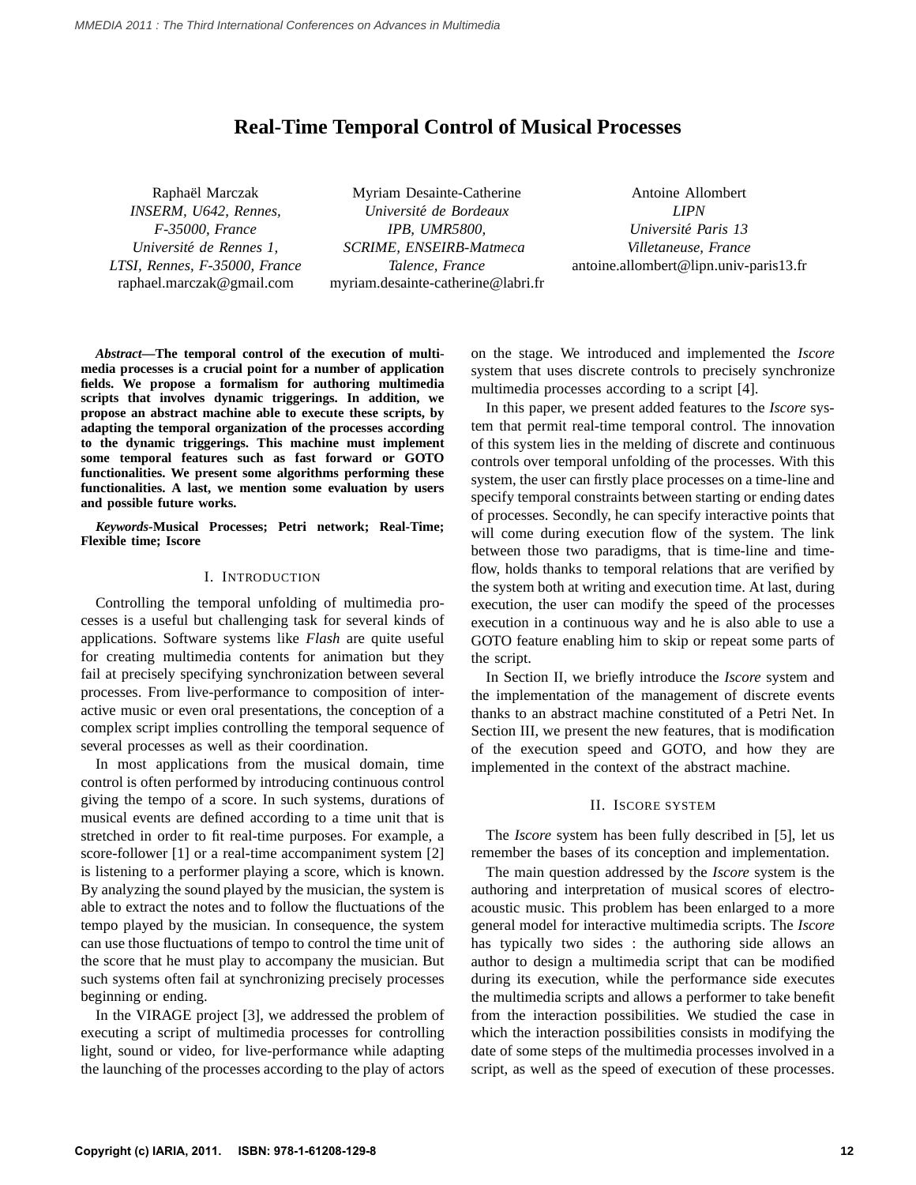# **Real-Time Temporal Control of Musical Processes**

Raphaël Marczak *INSERM, U642, Rennes, F-35000, France Universite de Rennes 1, ´ LTSI, Rennes, F-35000, France* raphael.marczak@gmail.com

Myriam Desainte-Catherine *Universite de Bordeaux ´ IPB, UMR5800, SCRIME, ENSEIRB-Matmeca Talence, France* myriam.desainte-catherine@labri.fr

Antoine Allombert *LIPN Universite Paris 13 ´ Villetaneuse, France* antoine.allombert@lipn.univ-paris13.fr

*Abstract***—The temporal control of the execution of multimedia processes is a crucial point for a number of application fields. We propose a formalism for authoring multimedia scripts that involves dynamic triggerings. In addition, we propose an abstract machine able to execute these scripts, by adapting the temporal organization of the processes according to the dynamic triggerings. This machine must implement some temporal features such as fast forward or GOTO functionalities. We present some algorithms performing these functionalities. A last, we mention some evaluation by users and possible future works.**

*Keywords***-Musical Processes; Petri network; Real-Time; Flexible time; Iscore**

#### I. INTRODUCTION

Controlling the temporal unfolding of multimedia processes is a useful but challenging task for several kinds of applications. Software systems like *Flash* are quite useful for creating multimedia contents for animation but they fail at precisely specifying synchronization between several processes. From live-performance to composition of interactive music or even oral presentations, the conception of a complex script implies controlling the temporal sequence of several processes as well as their coordination.

In most applications from the musical domain, time control is often performed by introducing continuous control giving the tempo of a score. In such systems, durations of musical events are defined according to a time unit that is stretched in order to fit real-time purposes. For example, a score-follower [1] or a real-time accompaniment system [2] is listening to a performer playing a score, which is known. By analyzing the sound played by the musician, the system is able to extract the notes and to follow the fluctuations of the tempo played by the musician. In consequence, the system can use those fluctuations of tempo to control the time unit of the score that he must play to accompany the musician. But such systems often fail at synchronizing precisely processes beginning or ending.

In the VIRAGE project [3], we addressed the problem of executing a script of multimedia processes for controlling light, sound or video, for live-performance while adapting the launching of the processes according to the play of actors on the stage. We introduced and implemented the *Iscore* system that uses discrete controls to precisely synchronize multimedia processes according to a script [4].

In this paper, we present added features to the *Iscore* system that permit real-time temporal control. The innovation of this system lies in the melding of discrete and continuous controls over temporal unfolding of the processes. With this system, the user can firstly place processes on a time-line and specify temporal constraints between starting or ending dates of processes. Secondly, he can specify interactive points that will come during execution flow of the system. The link between those two paradigms, that is time-line and timeflow, holds thanks to temporal relations that are verified by the system both at writing and execution time. At last, during execution, the user can modify the speed of the processes execution in a continuous way and he is also able to use a GOTO feature enabling him to skip or repeat some parts of the script.

In Section II, we briefly introduce the *Iscore* system and the implementation of the management of discrete events thanks to an abstract machine constituted of a Petri Net. In Section III, we present the new features, that is modification of the execution speed and GOTO, and how they are implemented in the context of the abstract machine.

#### II. ISCORE SYSTEM

The *Iscore* system has been fully described in [5], let us remember the bases of its conception and implementation.

The main question addressed by the *Iscore* system is the authoring and interpretation of musical scores of electroacoustic music. This problem has been enlarged to a more general model for interactive multimedia scripts. The *Iscore* has typically two sides : the authoring side allows an author to design a multimedia script that can be modified during its execution, while the performance side executes the multimedia scripts and allows a performer to take benefit from the interaction possibilities. We studied the case in which the interaction possibilities consists in modifying the date of some steps of the multimedia processes involved in a script, as well as the speed of execution of these processes.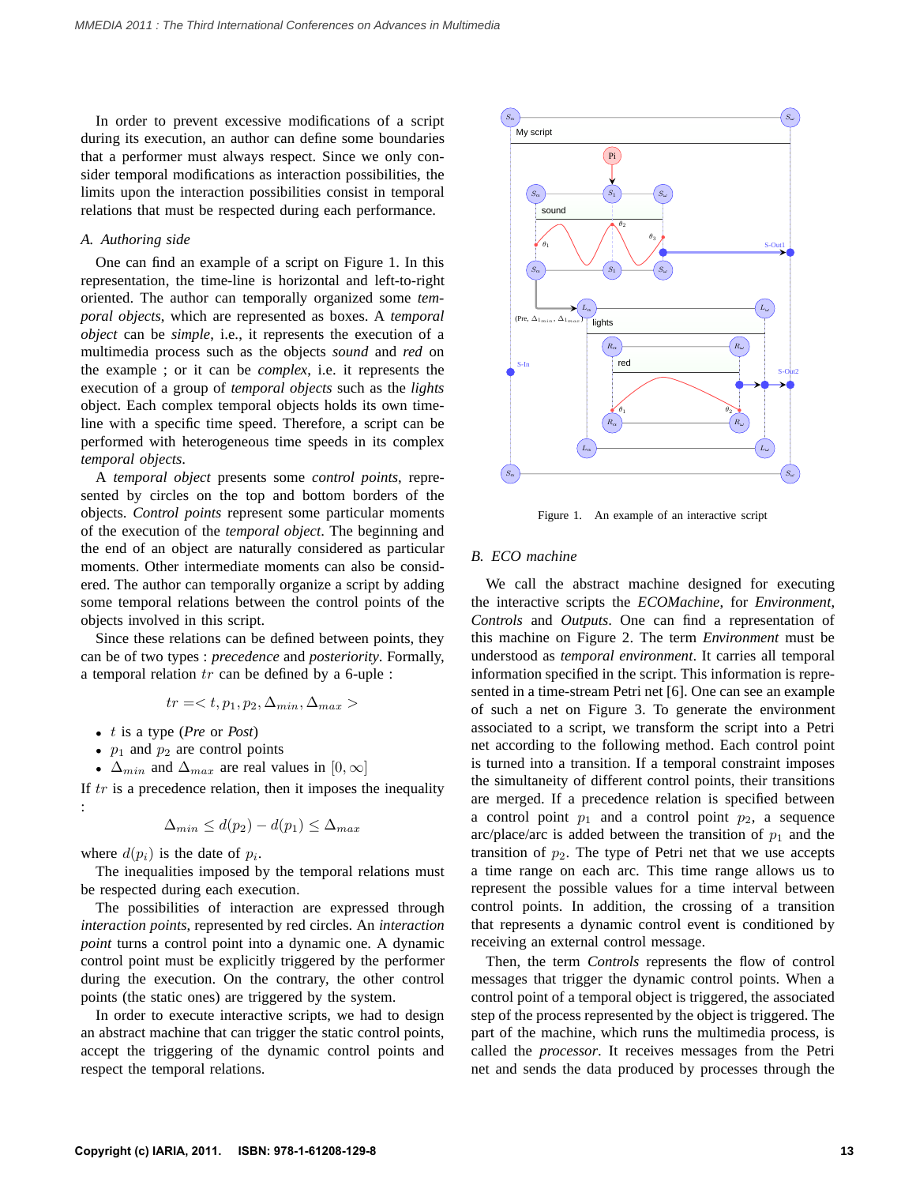In order to prevent excessive modifications of a script during its execution, an author can define some boundaries that a performer must always respect. Since we only consider temporal modifications as interaction possibilities, the limits upon the interaction possibilities consist in temporal relations that must be respected during each performance.

#### *A. Authoring side*

One can find an example of a script on Figure 1. In this representation, the time-line is horizontal and left-to-right oriented. The author can temporally organized some *temporal objects*, which are represented as boxes. A *temporal object* can be *simple*, i.e., it represents the execution of a multimedia process such as the objects *sound* and *red* on the example ; or it can be *complex*, i.e. it represents the execution of a group of *temporal objects* such as the *lights* object. Each complex temporal objects holds its own timeline with a specific time speed. Therefore, a script can be performed with heterogeneous time speeds in its complex *temporal objects*.

A *temporal object* presents some *control points*, represented by circles on the top and bottom borders of the objects. *Control points* represent some particular moments of the execution of the *temporal object*. The beginning and the end of an object are naturally considered as particular moments. Other intermediate moments can also be considered. The author can temporally organize a script by adding some temporal relations between the control points of the objects involved in this script.

Since these relations can be defined between points, they can be of two types : *precedence* and *posteriority*. Formally, a temporal relation  $tr$  can be defined by a 6-uple :

$$
tr =
$$

- t is a type (*Pre* or *Post*)
- $p_1$  and  $p_2$  are control points
- $\Delta_{min}$  and  $\Delta_{max}$  are real values in  $[0, \infty]$

If  $tr$  is a precedence relation, then it imposes the inequality :

$$
\Delta_{min} \le d(p_2) - d(p_1) \le \Delta_{max}
$$

where  $d(p_i)$  is the date of  $p_i$ .

The inequalities imposed by the temporal relations must be respected during each execution.

The possibilities of interaction are expressed through *interaction points*, represented by red circles. An *interaction point* turns a control point into a dynamic one. A dynamic control point must be explicitly triggered by the performer during the execution. On the contrary, the other control points (the static ones) are triggered by the system.

In order to execute interactive scripts, we had to design an abstract machine that can trigger the static control points, accept the triggering of the dynamic control points and respect the temporal relations.



Figure 1. An example of an interactive script

#### *B. ECO machine*

We call the abstract machine designed for executing the interactive scripts the *ECOMachine*, for *Environment*, *Controls* and *Outputs*. One can find a representation of this machine on Figure 2. The term *Environment* must be understood as *temporal environment*. It carries all temporal information specified in the script. This information is represented in a time-stream Petri net [6]. One can see an example of such a net on Figure 3. To generate the environment associated to a script, we transform the script into a Petri net according to the following method. Each control point is turned into a transition. If a temporal constraint imposes the simultaneity of different control points, their transitions are merged. If a precedence relation is specified between a control point  $p_1$  and a control point  $p_2$ , a sequence arc/place/arc is added between the transition of  $p_1$  and the transition of  $p_2$ . The type of Petri net that we use accepts a time range on each arc. This time range allows us to represent the possible values for a time interval between control points. In addition, the crossing of a transition that represents a dynamic control event is conditioned by receiving an external control message.

Then, the term *Controls* represents the flow of control messages that trigger the dynamic control points. When a control point of a temporal object is triggered, the associated step of the process represented by the object is triggered. The part of the machine, which runs the multimedia process, is called the *processor*. It receives messages from the Petri net and sends the data produced by processes through the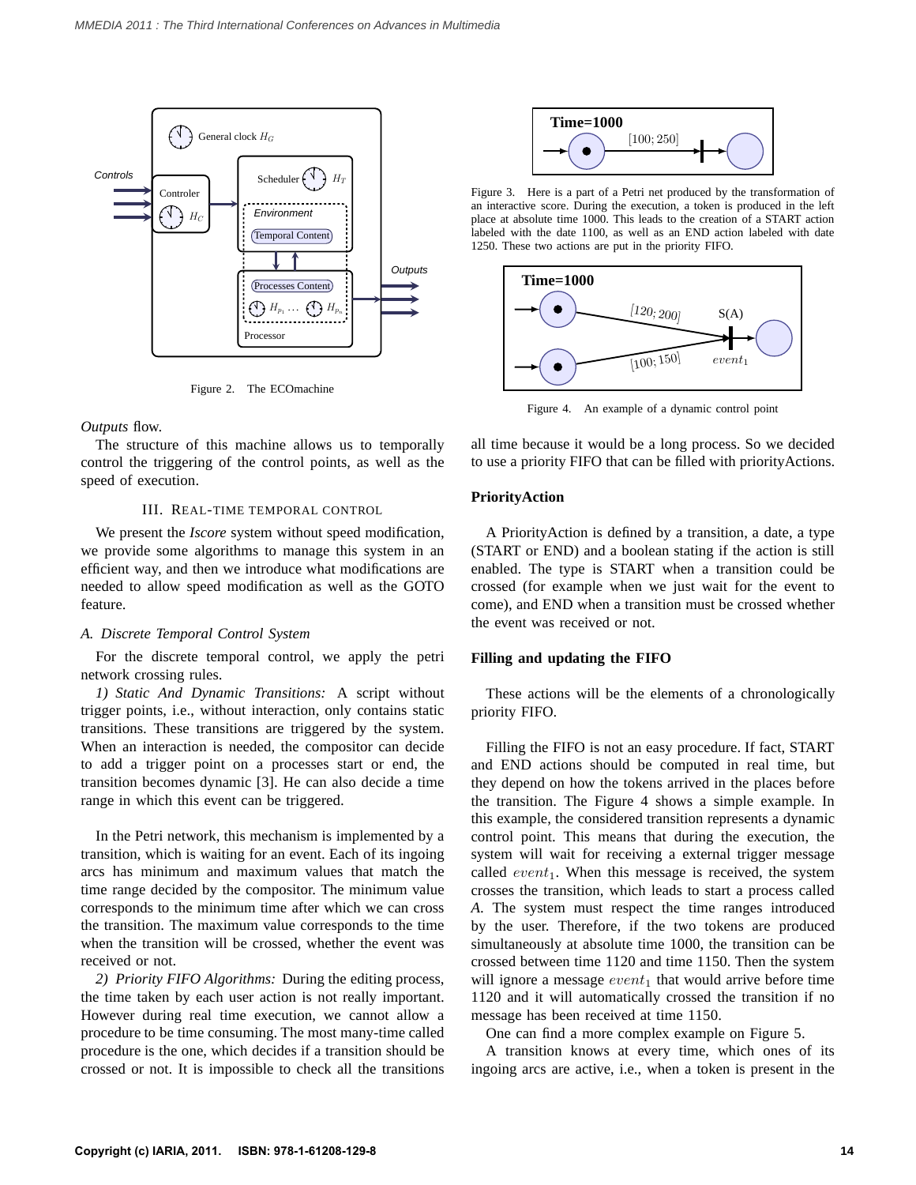

Figure 2. The ECOmachine

*Outputs* flow.

The structure of this machine allows us to temporally control the triggering of the control points, as well as the speed of execution.

#### III. REAL-TIME TEMPORAL CONTROL

We present the *Iscore* system without speed modification, we provide some algorithms to manage this system in an efficient way, and then we introduce what modifications are needed to allow speed modification as well as the GOTO feature.

#### *A. Discrete Temporal Control System*

For the discrete temporal control, we apply the petri network crossing rules.

*1) Static And Dynamic Transitions:* A script without trigger points, i.e., without interaction, only contains static transitions. These transitions are triggered by the system. When an interaction is needed, the compositor can decide to add a trigger point on a processes start or end, the transition becomes dynamic [3]. He can also decide a time range in which this event can be triggered.

In the Petri network, this mechanism is implemented by a transition, which is waiting for an event. Each of its ingoing arcs has minimum and maximum values that match the time range decided by the compositor. The minimum value corresponds to the minimum time after which we can cross the transition. The maximum value corresponds to the time when the transition will be crossed, whether the event was received or not.

*2) Priority FIFO Algorithms:* During the editing process, the time taken by each user action is not really important. However during real time execution, we cannot allow a procedure to be time consuming. The most many-time called procedure is the one, which decides if a transition should be crossed or not. It is impossible to check all the transitions



Figure 3. Here is a part of a Petri net produced by the transformation of an interactive score. During the execution, a token is produced in the left place at absolute time 1000. This leads to the creation of a START action labeled with the date 1100, as well as an END action labeled with date 1250. These two actions are put in the priority FIFO.



Figure 4. An example of a dynamic control point

all time because it would be a long process. So we decided to use a priority FIFO that can be filled with priorityActions.

## **PriorityAction**

A PriorityAction is defined by a transition, a date, a type (START or END) and a boolean stating if the action is still enabled. The type is START when a transition could be crossed (for example when we just wait for the event to come), and END when a transition must be crossed whether the event was received or not.

#### **Filling and updating the FIFO**

These actions will be the elements of a chronologically priority FIFO.

Filling the FIFO is not an easy procedure. If fact, START and END actions should be computed in real time, but they depend on how the tokens arrived in the places before the transition. The Figure 4 shows a simple example. In this example, the considered transition represents a dynamic control point. This means that during the execution, the system will wait for receiving a external trigger message called  $event_1$ . When this message is received, the system crosses the transition, which leads to start a process called *A*. The system must respect the time ranges introduced by the user. Therefore, if the two tokens are produced simultaneously at absolute time 1000, the transition can be crossed between time 1120 and time 1150. Then the system will ignore a message  $event_1$  that would arrive before time 1120 and it will automatically crossed the transition if no message has been received at time 1150.

One can find a more complex example on Figure 5.

A transition knows at every time, which ones of its ingoing arcs are active, i.e., when a token is present in the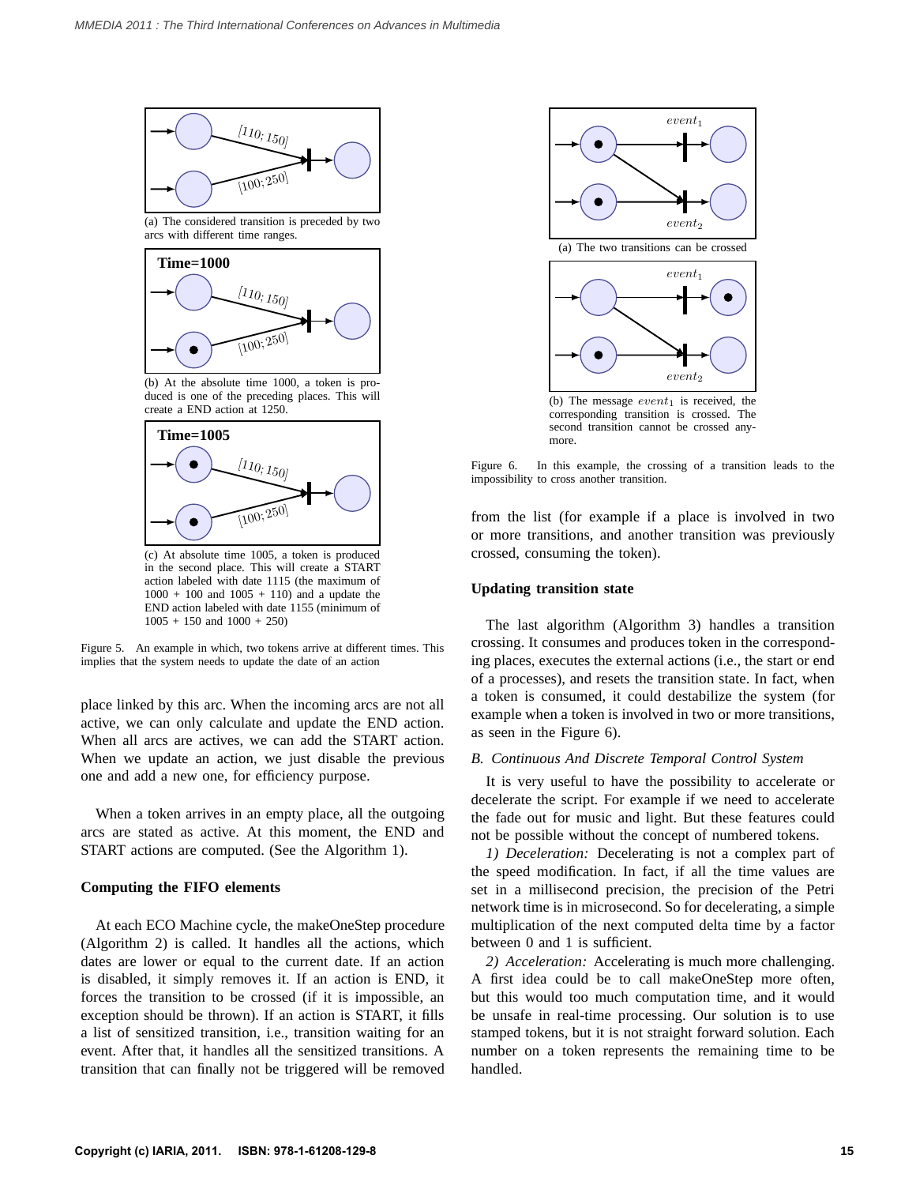

(a) The considered transition is preceded by two arcs with different time ranges.



(b) At the absolute time 1000, a token is produced is one of the preceding places. This will create a END action at 1250.



(c) At absolute time 1005, a token is produced in the second place. This will create a START action labeled with date 1115 (the maximum of  $1000 + 100$  and  $1005 + 110$  and a update the END action labeled with date 1155 (minimum of  $1005 + 150$  and  $1000 + 250$ 

Figure 5. An example in which, two tokens arrive at different times. This implies that the system needs to update the date of an action

place linked by this arc. When the incoming arcs are not all active, we can only calculate and update the END action. When all arcs are actives, we can add the START action. When we update an action, we just disable the previous one and add a new one, for efficiency purpose.

When a token arrives in an empty place, all the outgoing arcs are stated as active. At this moment, the END and START actions are computed. (See the Algorithm 1).

#### **Computing the FIFO elements**

At each ECO Machine cycle, the makeOneStep procedure (Algorithm 2) is called. It handles all the actions, which dates are lower or equal to the current date. If an action is disabled, it simply removes it. If an action is END, it forces the transition to be crossed (if it is impossible, an exception should be thrown). If an action is START, it fills a list of sensitized transition, i.e., transition waiting for an event. After that, it handles all the sensitized transitions. A transition that can finally not be triggered will be removed



corresponding transition is crossed. The second transition cannot be crossed anymore.

Figure 6. In this example, the crossing of a transition leads to the impossibility to cross another transition.

from the list (for example if a place is involved in two or more transitions, and another transition was previously crossed, consuming the token).

### **Updating transition state**

The last algorithm (Algorithm 3) handles a transition crossing. It consumes and produces token in the corresponding places, executes the external actions (i.e., the start or end of a processes), and resets the transition state. In fact, when a token is consumed, it could destabilize the system (for example when a token is involved in two or more transitions, as seen in the Figure 6).

#### *B. Continuous And Discrete Temporal Control System*

It is very useful to have the possibility to accelerate or decelerate the script. For example if we need to accelerate the fade out for music and light. But these features could not be possible without the concept of numbered tokens.

*1) Deceleration:* Decelerating is not a complex part of the speed modification. In fact, if all the time values are set in a millisecond precision, the precision of the Petri network time is in microsecond. So for decelerating, a simple multiplication of the next computed delta time by a factor between 0 and 1 is sufficient.

*2) Acceleration:* Accelerating is much more challenging. A first idea could be to call makeOneStep more often, but this would too much computation time, and it would be unsafe in real-time processing. Our solution is to use stamped tokens, but it is not straight forward solution. Each number on a token represents the remaining time to be handled.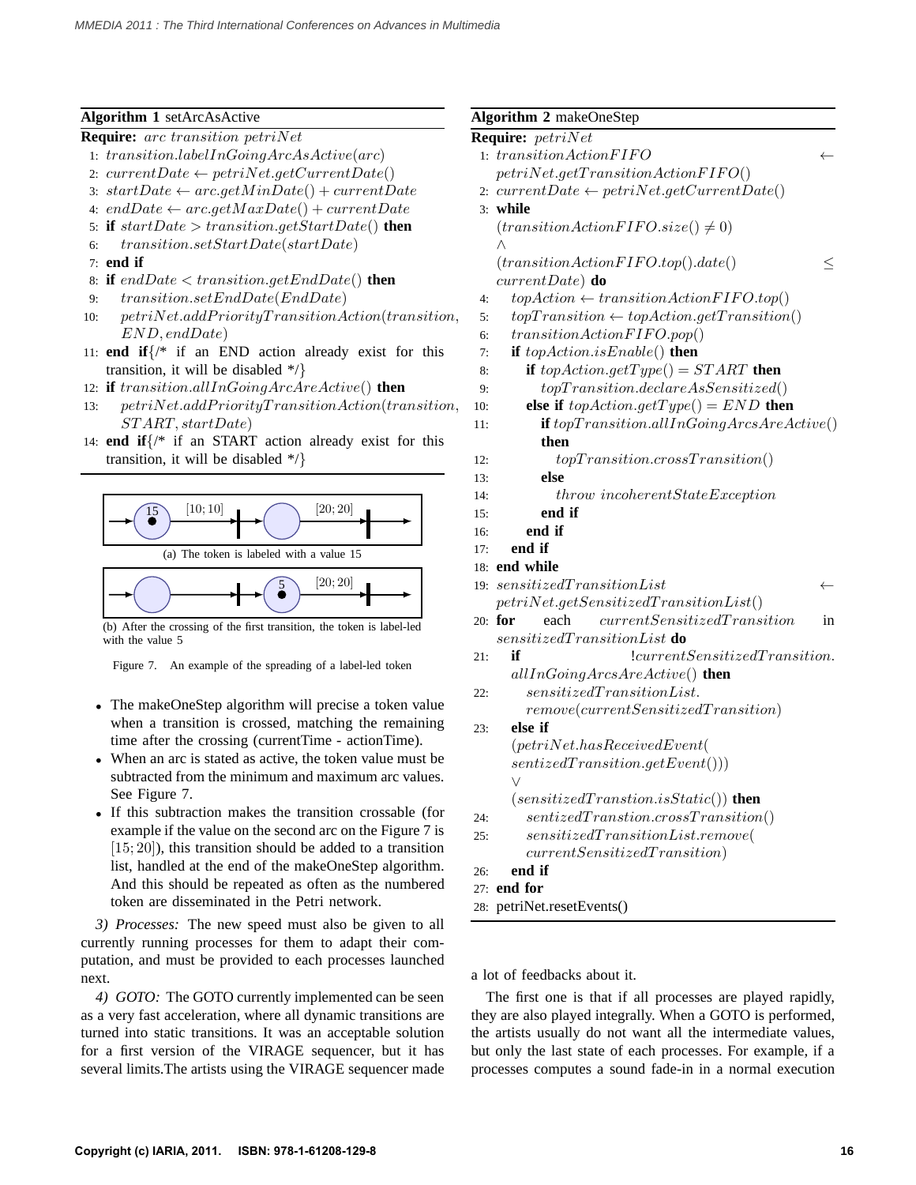# **Algorithm 1** setArcAsActive

- **Require:** arc transition petriNet
- 1: transition.labelInGoingArcAsActive(arc)
- 2:  $currentDate \leftarrow petriNet.getCurrentDate()$
- 3:  $startDate \leftarrow arc.getMinDate() + currentDate$
- 4: endDate  $\leftarrow$  arc.getMaxDate() + currentDate
- 5: **if**  $startDate > transition.getStartDate()$  **then**
- 6: transition.setStartDate(startDate)
- 7: **end if**
- 8: **if** endDate < transition.getEndDate() **then**
- 9: transition.setEndDate(EndDate)
- 10:  $petriNet.addPriority TransitionAction(transition,$ END, endDate)
- 11: **end if**{/\* if an END action already exist for this transition, it will be disabled  $*/$ }
- 12: **if** transition.allInGoingArcAreActive() **then**
- $petriNet.addPriority TransitionAction(transition,$ ST ART, startDate)
- 14: **end if**{/\* if an START action already exist for this transition, it will be disabled  $*/$



(b) After the crossing of the first transition, the token is label-led with the value 5

Figure 7. An example of the spreading of a label-led token

- The makeOneStep algorithm will precise a token value when a transition is crossed, matching the remaining time after the crossing (currentTime - actionTime).
- When an arc is stated as active, the token value must be subtracted from the minimum and maximum arc values. See Figure 7.
- If this subtraction makes the transition crossable (for example if the value on the second arc on the Figure 7 is [15; 20]), this transition should be added to a transition list, handled at the end of the makeOneStep algorithm. And this should be repeated as often as the numbered token are disseminated in the Petri network.

*3) Processes:* The new speed must also be given to all currently running processes for them to adapt their computation, and must be provided to each processes launched next.

*4) GOTO:* The GOTO currently implemented can be seen as a very fast acceleration, where all dynamic transitions are turned into static transitions. It was an acceptable solution for a first version of the VIRAGE sequencer, but it has several limits.The artists using the VIRAGE sequencer made

|            | <b>Algorithm 2 makeOneStep</b>                                                                                                                                                                                                                                                                                                                                                                                                                                                                                                                                                                   |  |  |  |  |
|------------|--------------------------------------------------------------------------------------------------------------------------------------------------------------------------------------------------------------------------------------------------------------------------------------------------------------------------------------------------------------------------------------------------------------------------------------------------------------------------------------------------------------------------------------------------------------------------------------------------|--|--|--|--|
|            | Require: petriNet                                                                                                                                                                                                                                                                                                                                                                                                                                                                                                                                                                                |  |  |  |  |
|            | 1: transitionActionFIFO                                                                                                                                                                                                                                                                                                                                                                                                                                                                                                                                                                          |  |  |  |  |
|            | $petriNet.getTransitionAction FIFO()$                                                                                                                                                                                                                                                                                                                                                                                                                                                                                                                                                            |  |  |  |  |
| 2:         | $currentDate \leftarrow petriNet.getCurrentDate()$                                                                                                                                                                                                                                                                                                                                                                                                                                                                                                                                               |  |  |  |  |
|            | 3: while                                                                                                                                                                                                                                                                                                                                                                                                                                                                                                                                                                                         |  |  |  |  |
|            | $(transitionActionFIFO.size() \neq 0)$                                                                                                                                                                                                                                                                                                                                                                                                                                                                                                                                                           |  |  |  |  |
|            | Λ                                                                                                                                                                                                                                                                                                                                                                                                                                                                                                                                                                                                |  |  |  |  |
|            | (transitionActionFIFO,top().date()<br>$\leq$                                                                                                                                                                                                                                                                                                                                                                                                                                                                                                                                                     |  |  |  |  |
|            | $currentDate)$ do                                                                                                                                                                                                                                                                                                                                                                                                                                                                                                                                                                                |  |  |  |  |
| 4:         | $topAction \leftarrow transitionActionFIFO.top()$                                                                                                                                                                                                                                                                                                                                                                                                                                                                                                                                                |  |  |  |  |
| 5:         | $topTransition \leftarrow topAction.getTransition()$                                                                                                                                                                                                                                                                                                                                                                                                                                                                                                                                             |  |  |  |  |
| 6:         | transitionAtion FIFO.pop()                                                                                                                                                                                                                                                                                                                                                                                                                                                                                                                                                                       |  |  |  |  |
| 7:         | if $topAction.isEnable()$ then                                                                                                                                                                                                                                                                                                                                                                                                                                                                                                                                                                   |  |  |  |  |
| 8:         | if $topAction.getType() = START$ then                                                                                                                                                                                                                                                                                                                                                                                                                                                                                                                                                            |  |  |  |  |
| 9:         | $top Transition. declare As Sensitized()$                                                                                                                                                                                                                                                                                                                                                                                                                                                                                                                                                        |  |  |  |  |
| 10:        | else if $topAction.getType() = END$ then                                                                                                                                                                                                                                                                                                                                                                                                                                                                                                                                                         |  |  |  |  |
| 11:        | $if top Transition. all InGoing Arcs AreActive()$                                                                                                                                                                                                                                                                                                                                                                                                                                                                                                                                                |  |  |  |  |
|            | then                                                                                                                                                                                                                                                                                                                                                                                                                                                                                                                                                                                             |  |  |  |  |
| 12:        | topTransitioncross Transition()                                                                                                                                                                                                                                                                                                                                                                                                                                                                                                                                                                  |  |  |  |  |
| 13:        | else                                                                                                                                                                                                                                                                                                                                                                                                                                                                                                                                                                                             |  |  |  |  |
| 14:        | througherentStateException                                                                                                                                                                                                                                                                                                                                                                                                                                                                                                                                                                       |  |  |  |  |
| 15:        | end if                                                                                                                                                                                                                                                                                                                                                                                                                                                                                                                                                                                           |  |  |  |  |
| 16:        | end if                                                                                                                                                                                                                                                                                                                                                                                                                                                                                                                                                                                           |  |  |  |  |
| 17:        | end if                                                                                                                                                                                                                                                                                                                                                                                                                                                                                                                                                                                           |  |  |  |  |
|            | 18: end while                                                                                                                                                                                                                                                                                                                                                                                                                                                                                                                                                                                    |  |  |  |  |
| 19:        | $sensitive dT transitionList% \begin{equation} \left[ \begin{array}{cc} \sigma_{1} & \sigma_{2} \end{array} \right] & \sigma_{1} & \sigma_{2} \end{equation} \begin{equation} \sigma_{2} & \sigma_{1} \end{equation} \begin{equation} \sigma_{3} & \sigma_{2} \end{equation} \begin{equation} \sigma_{4} & \sigma_{5} \end{equation} \begin{equation} \sigma_{5} & \sigma_{6} \end{equation} \begin{equation} \sigma_{6} & \sigma_{7} \end{equation} \begin{equation} \sigma_{7} & \sigma_{8} \end{equation} \begin{equation} \sigma_{1} & \sigma_{1} \end{equation$<br>$\overline{\phantom{0}}$ |  |  |  |  |
|            | $petriNet.getSensitive dTransitionList()$                                                                                                                                                                                                                                                                                                                                                                                                                                                                                                                                                        |  |  |  |  |
|            | currentSensitive dT transition<br>20: for<br>each<br>in                                                                                                                                                                                                                                                                                                                                                                                                                                                                                                                                          |  |  |  |  |
|            | $sensitive dT transitionList$ do                                                                                                                                                                                                                                                                                                                                                                                                                                                                                                                                                                 |  |  |  |  |
| 21:        | ! current Sensitized Transition.<br>if                                                                                                                                                                                                                                                                                                                                                                                                                                                                                                                                                           |  |  |  |  |
|            | $all InGoingArcsAreActive()$ then                                                                                                                                                                                                                                                                                                                                                                                                                                                                                                                                                                |  |  |  |  |
| 22:        | sensitive dT transitionList.                                                                                                                                                                                                                                                                                                                                                                                                                                                                                                                                                                     |  |  |  |  |
|            | remove(current Sensitized Transition)                                                                                                                                                                                                                                                                                                                                                                                                                                                                                                                                                            |  |  |  |  |
| 23:        | else if                                                                                                                                                                                                                                                                                                                                                                                                                                                                                                                                                                                          |  |  |  |  |
|            | (petriNet.hasReceivedEvent()                                                                                                                                                                                                                                                                                                                                                                                                                                                                                                                                                                     |  |  |  |  |
|            | sentized Transition.getEvent())<br>$\vee$                                                                                                                                                                                                                                                                                                                                                                                                                                                                                                                                                        |  |  |  |  |
|            | $(sensitive dT transition.isStatic()$ then                                                                                                                                                                                                                                                                                                                                                                                                                                                                                                                                                       |  |  |  |  |
|            | $sentized Transition. cross Transition()$                                                                                                                                                                                                                                                                                                                                                                                                                                                                                                                                                        |  |  |  |  |
| 24:<br>25: | $sensitive dT transitionList$ . $remove($                                                                                                                                                                                                                                                                                                                                                                                                                                                                                                                                                        |  |  |  |  |
|            | currentSensitive dT transition)                                                                                                                                                                                                                                                                                                                                                                                                                                                                                                                                                                  |  |  |  |  |
| 26:        | end if                                                                                                                                                                                                                                                                                                                                                                                                                                                                                                                                                                                           |  |  |  |  |
|            | $27:$ end for                                                                                                                                                                                                                                                                                                                                                                                                                                                                                                                                                                                    |  |  |  |  |
|            | 28: petriNet.resetEvents()                                                                                                                                                                                                                                                                                                                                                                                                                                                                                                                                                                       |  |  |  |  |
|            |                                                                                                                                                                                                                                                                                                                                                                                                                                                                                                                                                                                                  |  |  |  |  |
|            |                                                                                                                                                                                                                                                                                                                                                                                                                                                                                                                                                                                                  |  |  |  |  |

a lot of feedbacks about it.

The first one is that if all processes are played rapidly, they are also played integrally. When a GOTO is performed, the artists usually do not want all the intermediate values, but only the last state of each processes. For example, if a processes computes a sound fade-in in a normal execution